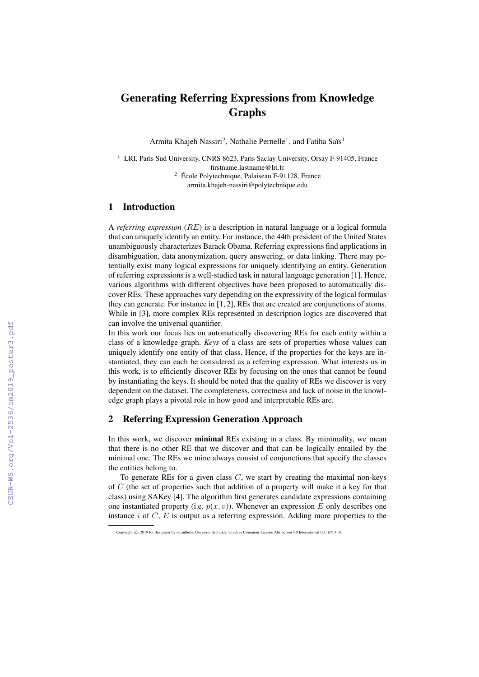# Generating Referring Expressions from Knowledge Graphs

Armita Khajeh Nassiri<sup>2</sup>, Nathalie Pernelle<sup>1</sup>, and Fatiha Saïs<sup>1</sup>

- $1$  LRI, Paris Sud University, CNRS 8623, Paris Saclay University, Orsay F-91405, France firstname.lastname@lri.fr <sup>2</sup> École Polytechnique, Palaiseau F-91128, France
	- armita.khajeh-nassiri@polytechnique.edu

### 1 Introduction

A *referring expression* (RE) is a description in natural language or a logical formula that can uniquely identify an entity. For instance, the 44th president of the United States unambiguously characterizes Barack Obama. Referring expressions find applications in disambiguation, data anonymization, query answering, or data linking. There may potentially exist many logical expressions for uniquely identifying an entity. Generation of referring expressions is a well-studied task in natural language generation [1]. Hence, various algorithms with different objectives have been proposed to automatically discover REs. These approaches vary depending on the expressivity of the logical formulas they can generate. For instance in [1, 2], REs that are created are conjunctions of atoms. While in [3], more complex REs represented in description logics are discovered that can involve the universal quantifier.

In this work our focus lies on automatically discovering REs for each entity within a class of a knowledge graph. *Keys* of a class are sets of properties whose values can uniquely identify one entity of that class. Hence, if the properties for the keys are instantiated, they can each be considered as a referring expression. What interests us in this work, is to efficiently discover REs by focusing on the ones that cannot be found by instantiating the keys. It should be noted that the quality of REs we discover is very dependent on the dataset. The completeness, correctness and lack of noise in the knowledge graph plays a pivotal role in how good and interpretable REs are.

## 2 Referring Expression Generation Approach

In this work, we discover minimal REs existing in a class. By minimality, we mean that there is no other RE that we discover and that can be logically entailed by the minimal one. The REs we mine always consist of conjunctions that specify the classes the entities belong to.

To generate REs for a given class  $C$ , we start by creating the maximal non-keys of  $C$  (the set of properties such that addition of a property will make it a key for that class) using SAKey [4]. The algorithm first generates candidate expressions containing one instantiated property (i.e.  $p(x, y)$ ). Whenever an expression E only describes one instance i of  $C$ ,  $E$  is output as a referring expression. Adding more properties to the

Copyright © 2019 for this paper by its authors. Use permitted under Creative Commons License Attribution 4.0 International (CC BY 4.0).